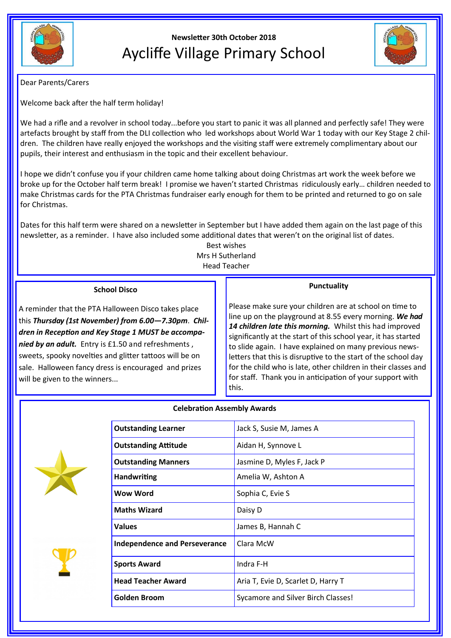

# **Newsletter 30th October 2018** Aycliffe Village Primary School



Dear Parents/Carers

Welcome back after the half term holiday!

We had a rifle and a revolver in school today...before you start to panic it was all planned and perfectly safe! They were artefacts brought by staff from the DLI collection who led workshops about World War 1 today with our Key Stage 2 children. The children have really enjoyed the workshops and the visiting staff were extremely complimentary about our pupils, their interest and enthusiasm in the topic and their excellent behaviour.

I hope we didn't confuse you if your children came home talking about doing Christmas art work the week before we broke up for the October half term break! I promise we haven't started Christmas ridiculously early… children needed to make Christmas cards for the PTA Christmas fundraiser early enough for them to be printed and returned to go on sale for Christmas.

Dates for this half term were shared on a newsletter in September but I have added them again on the last page of this newsletter, as a reminder. I have also included some additional dates that weren't on the original list of dates.

> Best wishes Mrs H Sutherland Head Teacher

**Celebration Assembly Awards**

## **School Disco**

A reminder that the PTA Halloween Disco takes place this *Thursday (1st November) from 6.00—7.30pm*. *Children in Reception and Key Stage 1 MUST be accompanied by an adult.* Entry is £1.50 and refreshments , sweets, spooky novelties and glitter tattoos will be on sale. Halloween fancy dress is encouraged and prizes will be given to the winners...

## **Punctuality**

Please make sure your children are at school on time to line up on the playground at 8.55 every morning. *We had 14 children late this morning.* Whilst this had improved significantly at the start of this school year, it has started to slide again. I have explained on many previous newsletters that this is disruptive to the start of the school day for the child who is late, other children in their classes and for staff. Thank you in anticipation of your support with this.







| <b>Outstanding Learner</b>           | Jack S, Susie M, James A           |
|--------------------------------------|------------------------------------|
| <b>Outstanding Attitude</b>          | Aidan H, Synnove L                 |
| <b>Outstanding Manners</b>           | Jasmine D, Myles F, Jack P         |
| <b>Handwriting</b>                   | Amelia W, Ashton A                 |
| <b>Wow Word</b>                      | Sophia C, Evie S                   |
| <b>Maths Wizard</b>                  | Daisy D                            |
| <b>Values</b>                        | James B, Hannah C                  |
| <b>Independence and Perseverance</b> | Clara McW                          |
| <b>Sports Award</b>                  | Indra F-H                          |
| <b>Head Teacher Award</b>            | Aria T, Evie D, Scarlet D, Harry T |
| Golden Broom                         | Sycamore and Silver Birch Classes! |
|                                      |                                    |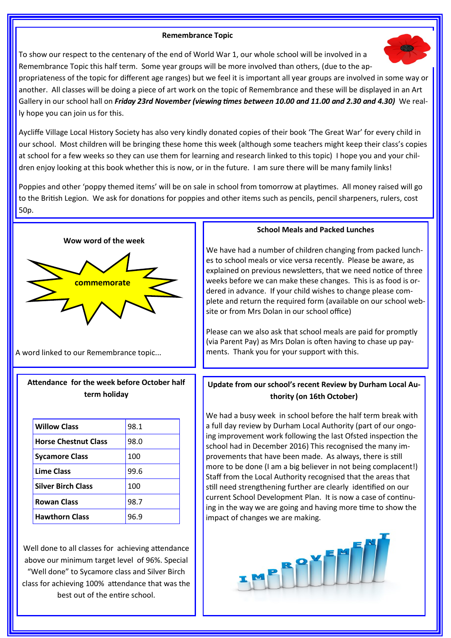#### **Remembrance Topic**

To show our respect to the centenary of the end of World War 1, our whole school will be involved in a Remembrance Topic this half term. Some year groups will be more involved than others, (due to the ap-

propriateness of the topic for different age ranges) but we feel it is important all year groups are involved in some way or another. All classes will be doing a piece of art work on the topic of Remembrance and these will be displayed in an Art Gallery in our school hall on *Friday 23rd November (viewing times between 10.00 and 11.00 and 2.30 and 4.30)* We really hope you can join us for this.

Aycliffe Village Local History Society has also very kindly donated copies of their book 'The Great War' for every child in our school. Most children will be bringing these home this week (although some teachers might keep their class's copies at school for a few weeks so they can use them for learning and research linked to this topic) I hope you and your children enjoy looking at this book whether this is now, or in the future. I am sure there will be many family links!

Poppies and other 'poppy themed items' will be on sale in school from tomorrow at playtimes. All money raised will go to the British Legion. We ask for donations for poppies and other items such as pencils, pencil sharpeners, rulers, cost 50p.

**Wow word of the week**



A word linked to our Remembrance topic...

## **Attendance for the week before October half term holiday**

| <b>Willow Class</b>         | 98.1 |
|-----------------------------|------|
| <b>Horse Chestnut Class</b> | 98.0 |
| <b>Sycamore Class</b>       | 100  |
| <b>Lime Class</b>           | 99.6 |
| <b>Silver Birch Class</b>   | 100  |
| <b>Rowan Class</b>          | 98.7 |
| <b>Hawthorn Class</b>       | 96.9 |

Well done to all classes for achieving attendance above our minimum target level of 96%. Special "Well done" to Sycamore class and Silver Birch class for achieving 100% attendance that was the best out of the entire school.

#### **School Meals and Packed Lunches**

We have had a number of children changing from packed lunches to school meals or vice versa recently. Please be aware, as explained on previous newsletters, that we need notice of three weeks before we can make these changes. This is as food is ordered in advance. If your child wishes to change please complete and return the required form (available on our school website or from Mrs Dolan in our school office)

Please can we also ask that school meals are paid for promptly (via Parent Pay) as Mrs Dolan is often having to chase up payments. Thank you for your support with this.

## **Update from our school's recent Review by Durham Local Authority (on 16th October)**

We had a busy week in school before the half term break with a full day review by Durham Local Authority (part of our ongoing improvement work following the last Ofsted inspection the school had in December 2016) This recognised the many improvements that have been made. As always, there is still more to be done (I am a big believer in not being complacent!) Staff from the Local Authority recognised that the areas that still need strengthening further are clearly identified on our current School Development Plan. It is now a case of continuing in the way we are going and having more time to show the impact of changes we are making.